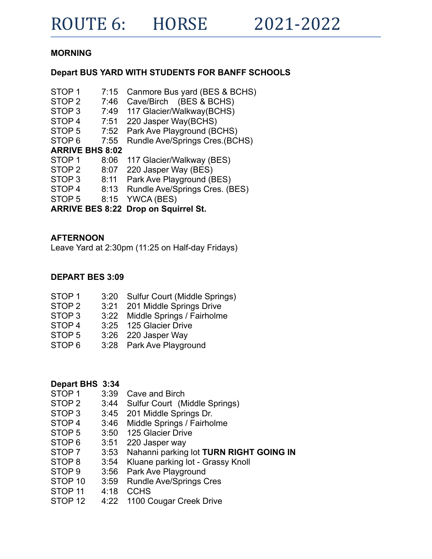# **MORNING**

## **Depart BUS YARD WITH STUDENTS FOR BANFF SCHOOLS**

| STOP <sub>1</sub> | 7:15                   | Canmore Bus yard (BES & BCHS)               |
|-------------------|------------------------|---------------------------------------------|
| STOP <sub>2</sub> | 7:46                   | Cave/Birch (BES & BCHS)                     |
| STOP <sub>3</sub> | 7:49                   | 117 Glacier/Walkway(BCHS)                   |
| STOP <sub>4</sub> | 7:51                   | 220 Jasper Way(BCHS)                        |
| STOP <sub>5</sub> | 7:52                   | Park Ave Playground (BCHS)                  |
| STOP <sub>6</sub> | 7:55                   | Rundle Ave/Springs Cres.(BCHS)              |
|                   | <b>ARRIVE BHS 8:02</b> |                                             |
| STOP <sub>1</sub> | 8:06                   | 117 Glacier/Walkway (BES)                   |
| STOP <sub>2</sub> | 8:07                   | 220 Jasper Way (BES)                        |
| STOP <sub>3</sub> | 8:11                   | Park Ave Playground (BES)                   |
| STOP <sub>4</sub> | 8:13                   | Rundle Ave/Springs Cres. (BES)              |
| STOP <sub>5</sub> | 8:15                   | YWCA (BES)                                  |
|                   |                        | <b>ARRIVE BES 8:22 Drop on Squirrel St.</b> |

### **AFTERNOON**

Leave Yard at 2:30pm (11:25 on Half-day Fridays)

### **DEPART BES 3:09**

| 3:20 Sulfur Court (Middle Springs) |
|------------------------------------|
| 3:21 201 Middle Springs Drive      |
| 3:22 Middle Springs / Fairholme    |
| 3:25 125 Glacier Drive             |
| 3:26 220 Jasper Way                |
| 3:28 Park Ave Playground           |
|                                    |

- **Depart BHS 3:34**<br>STOP 1 3:39
- STOP 1 3:39 Cave and Birch<br>STOP 2 3:44 Sulfur Court (M<br>STOP 3 3:45 201 Middle Sprin<br>STOP 4 3:46 Middle Springs /<br>STOP 5 3:50 125 Glacier Driv 3:44 Sulfur Court (Middle Springs)<br>3:45 201 Middle Springs Dr.
- 201 Middle Springs Dr.
- 3:46 Middle Springs / Fairholme
- STOP 5 3:50 125 Glacier Drive
- STOP 6 3:51 220 Jasper way
- STOP 7 3:53 Nahanni parking lot **TURN RIGHT GOING IN**
- STOP 8 3:54 Kluane parking lot Grassy Knoll
- STOP 9 3:56 Park Ave Playground<br>STOP 10 3:59 Rundle Ave/Springs 0
- Rundle Ave/Springs Cres
- STOP 11 4:18 CCHS
- STOP 12 4:22 1100 Cougar Creek Drive